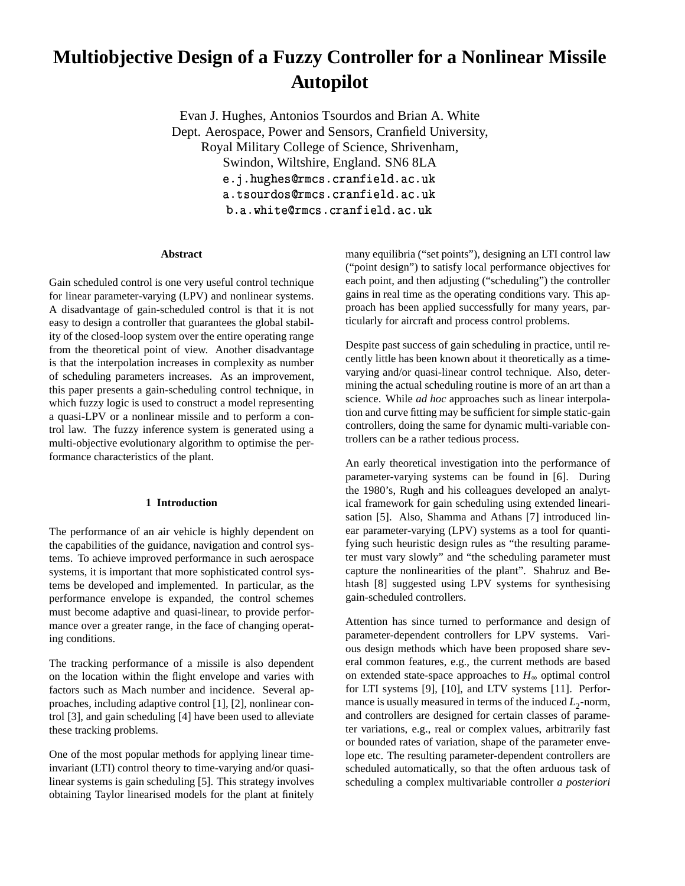# **Multiobjective Design of a Fuzzy Controller for a Nonlinear Missile Autopilot**

Evan J. Hughes, Antonios Tsourdos and Brian A. White Dept. Aerospace, Power and Sensors, Cranfield University, Royal Military College of Science, Shrivenham, Swindon, Wiltshire, England. SN6 8LA - - Letter in the contract of a contract of the contract of the contract of the contract of the contract of the -&%')(\* 
(\$ !"\$#  $\mathbf{b}$  and  $\mathbf{b}$  . Approximately and  $\mathbf{c}$  .  $\mathbf{d}$  and  $\mathbf{c}$  .  $\mathbf{d}$  .

### **Abstract**

Gain scheduled control is one very useful control technique for linear parameter-varying (LPV) and nonlinear systems. A disadvantage of gain-scheduled control is that it is not easy to design a controller that guarantees the global stability of the closed-loop system over the entire operating range from the theoretical point of view. Another disadvantage is that the interpolation increases in complexity as number of scheduling parameters increases. As an improvement, this paper presents a gain-scheduling control technique, in which fuzzy logic is used to construct a model representing a quasi-LPV or a nonlinear missile and to perform a control law. The fuzzy inference system is generated using a multi-objective evolutionary algorithm to optimise the performance characteristics of the plant.

## **1 Introduction**

The performance of an air vehicle is highly dependent on the capabilities of the guidance, navigation and control systems. To achieve improved performance in such aerospace systems, it is important that more sophisticated control systems be developed and implemented. In particular, as the performance envelope is expanded, the control schemes must become adaptive and quasi-linear, to provide performance over a greater range, in the face of changing operating conditions.

The tracking performance of a missile is also dependent on the location within the flight envelope and varies with factors such as Mach number and incidence. Several approaches, including adaptive control [1], [2], nonlinear control [3], and gain scheduling [4] have been used to alleviate these tracking problems.

One of the most popular methods for applying linear timeinvariant (LTI) control theory to time-varying and/or quasilinear systems is gain scheduling [5]. This strategy involves obtaining Taylor linearised models for the plant at finitely

many equilibria ("set points"), designing an LTI control law ("point design") to satisfy local performance objectives for each point, and then adjusting ("scheduling") the controller gains in real time as the operating conditions vary. This approach has been applied successfully for many years, particularly for aircraft and process control problems.

Despite past success of gain scheduling in practice, until recently little has been known about it theoretically as a timevarying and/or quasi-linear control technique. Also, determining the actual scheduling routine is more of an art than a science. While *ad hoc* approaches such as linear interpolation and curve fitting may be sufficient for simple static-gain controllers, doing the same for dynamic multi-variable controllers can be a rather tedious process.

An early theoretical investigation into the performance of parameter-varying systems can be found in [6]. During the 1980's, Rugh and his colleagues developed an analytical framework for gain scheduling using extended linearisation [5]. Also, Shamma and Athans [7] introduced linear parameter-varying (LPV) systems as a tool for quantifying such heuristic design rules as "the resulting parameter must vary slowly" and "the scheduling parameter must capture the nonlinearities of the plant". Shahruz and Behtash [8] suggested using LPV systems for synthesising gain-scheduled controllers.

Attention has since turned to performance and design of parameter-dependent controllers for LPV systems. Various design methods which have been proposed share several common features, e.g., the current methods are based on extended state-space approaches to *H*<sup>∞</sup> optimal control for LTI systems [9], [10], and LTV systems [11]. Performance is usually measured in terms of the induced  $L_2$ -norm, and controllers are designed for certain classes of parameter variations, e.g., real or complex values, arbitrarily fast or bounded rates of variation, shape of the parameter envelope etc. The resulting parameter-dependent controllers are scheduled automatically, so that the often arduous task of scheduling a complex multivariable controller *a posteriori*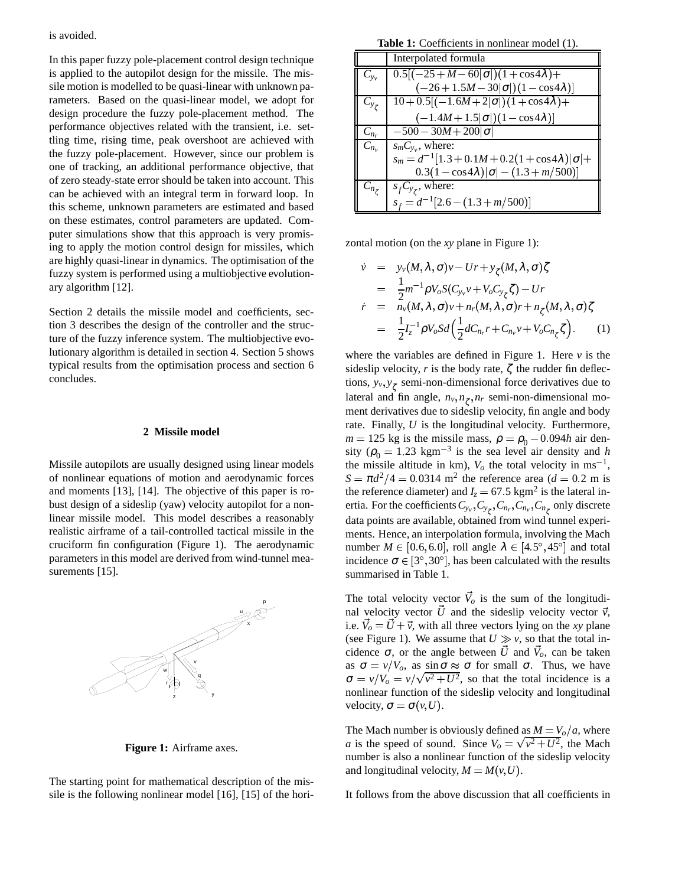In this paper fuzzy pole-placement control design technique is applied to the autopilot design for the missile. The missile motion is modelled to be quasi-linear with unknown parameters. Based on the quasi-linear model, we adopt for design procedure the fuzzy pole-placement method. The performance objectives related with the transient, i.e. settling time, rising time, peak overshoot are achieved with the fuzzy pole-placement. However, since our problem is one of tracking, an additional performance objective, that of zero steady-state error should be taken into account. This can be achieved with an integral term in forward loop. In this scheme, unknown parameters are estimated and based on these estimates, control parameters are updated. Computer simulations show that this approach is very promising to apply the motion control design for missiles, which are highly quasi-linear in dynamics. The optimisation of the fuzzy system is performed using a multiobjective evolutionary algorithm [12].

Section 2 details the missile model and coefficients, section 3 describes the design of the controller and the structure of the fuzzy inference system. The multiobjective evolutionary algorithm is detailed in section 4. Section 5 shows typical results from the optimisation process and section 6 concludes.

# **2 Missile model**

Missile autopilots are usually designed using linear models of nonlinear equations of motion and aerodynamic forces and moments [13], [14]. The objective of this paper is robust design of a sideslip (yaw) velocity autopilot for a nonlinear missile model. This model describes a reasonably realistic airframe of a tail-controlled tactical missile in the cruciform fin configuration (Figure 1). The aerodynamic parameters in this model are derived from wind-tunnel measurements [15].



**Figure 1:** Airframe axes.

The starting point for mathematical description of the missile is the following nonlinear model [16], [15] of the hori-

**Table 1:** Coefficients in nonlinear model (1).

|                       | Interpolated formula                                         |
|-----------------------|--------------------------------------------------------------|
| $C_{y_v}$             | $0.5[(-25+M-60 \sigma )(1+\cos 4\lambda)+$                   |
|                       | $(-26+1.5M-30 \sigma )(1-\cos 4\lambda)]$                    |
| $C_{y_{\mathcal{L}}}$ | $10 + 0.5[(-1.6M + 2]\sigma])(1 + \cos 4\lambda) +$          |
|                       | $(-1.4M + 1.5 \sigma )(1 - \cos 4\lambda)]$                  |
| $C_{n_r}$             | $-500 - 30M + 200 \sigma $                                   |
| $C_{n_v}$             | $s_m C_{y_v}$ , where:                                       |
|                       | $s_m = d^{-1}[1.3 + 0.1M + 0.2(1 + \cos 4\lambda) \sigma  +$ |
|                       | $0.3(1-\cos 4\lambda) \sigma -(1.3+m/500) $                  |
|                       | $C_{n_{\zeta}}$   $s_f C_{y_{\zeta}}$ , where:               |
|                       | $s_f = d^{-1}[2.6 - (1.3 + m/500)]$                          |

zontal motion (on the *xy* plane in Figure 1):

$$
\dot{v} = y_v(M, \lambda, \sigma)v - Ur + y_{\zeta}(M, \lambda, \sigma)\zeta
$$
\n
$$
= \frac{1}{2}m^{-1}\rho V_o S(C_{y_v}v + V_o C_{y_{\zeta}}\zeta) - Ur
$$
\n
$$
\dot{r} = n_v(M, \lambda, \sigma)v + n_r(M, \lambda, \sigma)r + n_{\zeta}(M, \lambda, \sigma)\zeta
$$
\n
$$
= \frac{1}{2}I_{z}^{-1}\rho V_o S d\left(\frac{1}{2}dC_{n_r}r + C_{n_v}v + V_o C_{n_{\zeta}}\zeta\right).
$$
\n(1)

where the variables are defined in Figure 1. Here  $\nu$  is the sideslip velocity,  $r$  is the body rate,  $\zeta$  the rudder fin deflections,  $y_v, y_{\zeta}$  semi-non-dimensional force derivatives due to lateral and fin angle,  $n_v, n_\tau, n_r$  semi-non-dimensional moment derivatives due to sideslip velocity, fin angle and body rate. Finally, *U* is the longitudinal velocity. Furthermore,  $m = 125$  kg is the missile mass,  $\rho = \rho_0 - 0.094h$  air density ( $\rho_0 = 1.23$  kgm<sup>-3</sup> is the sea level air density and *h* the missile altitude in km),  $V_o$  the total velocity in ms<sup>-1</sup>,  $S = \pi d^2/4 = 0.0314$  m<sup>2</sup> the reference area (*d* = 0.2 m is the reference diameter) and  $I_z = 67.5$  kgm<sup>2</sup> is the lateral inertia. For the coefficients  $C_{y_v}, C_{y_{\zeta}}, C_{n_r}, C_{n_v}, C_{n_{\zeta}}$  only discrete data points are available, obtained from wind tunnel experiments. Hence, an interpolation formula, involving the Mach number  $M \in [0.6, 6.0]$ , roll angle  $\lambda \in [4.5^{\circ}, 45^{\circ}]$  and total incidence  $\sigma \in [3^\circ, 30^\circ]$ , has been calculated with the results summarised in Table 1.

The total velocity vector  $\vec{V}_o$  is the sum of the longitudinal velocity vector  $\vec{U}$  and the sideslip velocity vector  $\vec{v}$ , i.e.  $\vec{V}_o = \vec{U} + \vec{v}$ , with all three vectors lying on the *xy* plane (see Figure 1). We assume that  $U \gg v$ , so that the total incidence  $\sigma$ , or the angle between  $\vec{U}$  and  $\vec{V}_o$ , can be taken as  $\sigma = v/V_o$ , as sin $\sigma \approx \sigma$  for small  $\sigma$ . Thus, we have  $\sigma = v/V_o = v/\sqrt{v^2 + U^2}$ , so that the total incidence is a nonlinear function of the sideslip velocity and longitudinal velocity,  $\sigma = \sigma(v, U)$ .

The Mach number is obviously defined as  $M = V_o/a$ , where *a* is the speed of sound. Since  $V_o = \sqrt{v^2 + U^2}$ , the Mach number is also a nonlinear function of the sideslip velocity and longitudinal velocity,  $M = M(v, U)$ .

It follows from the above discussion that all coefficients in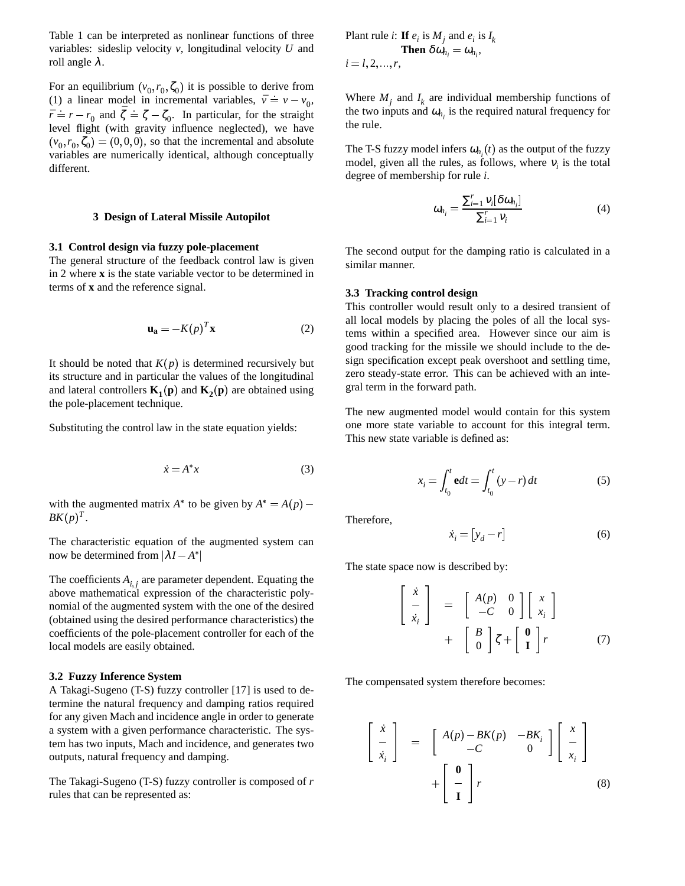Table 1 can be interpreted as nonlinear functions of three variables: sideslip velocity *v*, longitudinal velocity *U* and roll angle  $λ$ .

For an equilibrium  $(v_0, r_0, \zeta_0)$  it is possible to derive from (1) a linear model in incremental variables,  $\bar{v} = v - v_0$ , Wh  $\bar{r} = r - r_0$  and  $\bar{\zeta} = \zeta - \zeta_0$ . In particular, for the straight level flight (with gravity influence neglected), we have  $(v_0, r_0, \zeta_0) = (0, 0, 0)$ , so that the incremental and absolute variables are numerically identical, although conceptually different.

#### **3 Design of Lateral Missile Autopilot**

#### **3.1 Control design via fuzzy pole-placement**

The general structure of the feedback control law is given in 2 where **x** is the state variable vector to be determined in terms of **x** and the reference signal.

$$
\mathbf{u_a} = -K(p)^T \mathbf{x} \tag{2}
$$

It should be noted that  $K(p)$  is determined recursively but its structure and in particular the values of the longitudinal and lateral controllers  $\mathbf{K}_1(\mathbf{p})$  and  $\mathbf{K}_2(\mathbf{p})$  are obtained using the pole-placement technique.

Substituting the control law in the state equation yields:

$$
\dot{x} = A^*x \tag{3}
$$

with the augmented matrix  $A^*$  to be given by  $A^* = A(p)$  –  $BK(p)^{T}$ .

The characteristic equation of the augmented system can now be determined from  $|\lambda I - A^*|$ 

The coefficients  $A_{i,j}$  are parameter dependent. Equating the above mathematical expression of the characteristic polynomial of the augmented system with the one of the desired (obtained using the desired performance characteristics) the coefficients of the pole-placement controller for each of the local models are easily obtained.

## **3.2 Fuzzy Inference System**

A Takagi-Sugeno (T-S) fuzzy controller [17] is used to determine the natural frequency and damping ratios required for any given Mach and incidence angle in order to generate a system with a given performance characteristic. The system has two inputs, Mach and incidence, and generates two outputs, natural frequency and damping.

The Takagi-Sugeno (T-S) fuzzy controller is composed of *r* rules that can be represented as:

Plant rule *i*: If 
$$
e_i
$$
 is  $M_j$  and  $e_i$  is  $I_k$   
\nThen  $\delta \omega_{n_i} = \omega_{n_i}$ ,  
\n $i = l, 2, ..., r$ ,

Where  $M_j$  and  $I_k$  are individual membership functions of the two inputs and  $\omega_{n_i}$  is the required natural frequency for the rule.

The T-S fuzzy model infers  $\omega_{n}$  (*t*) as the output of the fuzzy model, given all the rules, as follows, where  $v_i$  is the total degree of membership for rule *i*.

$$
\omega_{n_i} = \frac{\sum_{i=1}^{r} \nu_i [\delta \omega_{n_i}]}{\sum_{i=1}^{r} \nu_i} \tag{4}
$$

The second output for the damping ratio is calculated in a similar manner.

#### **3.3 Tracking control design**

This controller would result only to a desired transient of all local models by placing the poles of all the local systems within a specified area. However since our aim is good tracking for the missile we should include to the design specification except peak overshoot and settling time, zero steady-state error. This can be achieved with an integral term in the forward path.

The new augmented model would contain for this system one more state variable to account for this integral term. This new state variable is defined as:

$$
x_i = \int_{t_0}^t \mathbf{e} dt = \int_{t_0}^t (y - r) dt
$$
 (5)

Therefore,

$$
\dot{x}_i = [y_d - r] \tag{6}
$$

The state space now is described by:

$$
\begin{bmatrix}\n\dot{x} \\
-\dot{x}_i\n\end{bmatrix} = \begin{bmatrix}\nA(p) & 0 \\
-C & 0\n\end{bmatrix} \begin{bmatrix}\nx \\
x_i\n\end{bmatrix} + \begin{bmatrix}\nB \\
0\n\end{bmatrix} \zeta + \begin{bmatrix}\n0 \\
1\n\end{bmatrix} r
$$
\n(7)

The compensated system therefore becomes:

$$
\begin{bmatrix}\n\dot{x} \\
\frac{1}{x_i}\n\end{bmatrix} = \begin{bmatrix}\nA(p) - BK(p) & -BK_i \\
-C & 0\n\end{bmatrix} \begin{bmatrix}\nx \\
\frac{1}{x_i}\n\end{bmatrix} + \begin{bmatrix}\n0 \\
\frac{1}{x_i}\n\end{bmatrix} r
$$
\n(8)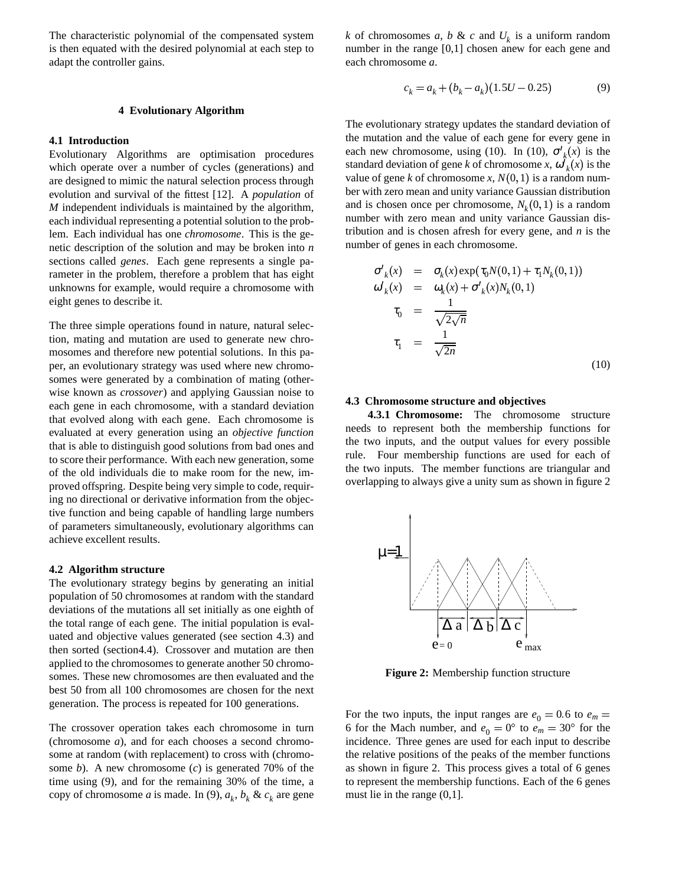The characteristic polynomial of the compensated system is then equated with the desired polynomial at each step to adapt the controller gains.

## **4 Evolutionary Algorithm**

## **4.1 Introduction**

Evolutionary Algorithms are optimisation procedures which operate over a number of cycles (generations) and are designed to mimic the natural selection process through evolution and survival of the fittest [12]. A *population* of *M* independent individuals is maintained by the algorithm, each individual representing a potential solution to the problem. Each individual has one *chromosome*. This is the genetic description of the solution and may be broken into *n* sections called *genes*. Each gene represents a single parameter in the problem, therefore a problem that has eight unknowns for example, would require a chromosome with eight genes to describe it.

The three simple operations found in nature, natural selection, mating and mutation are used to generate new chromosomes and therefore new potential solutions. In this paper, an evolutionary strategy was used where new chromosomes were generated by a combination of mating (otherwise known as *crossover*) and applying Gaussian noise to each gene in each chromosome, with a standard deviation that evolved along with each gene. Each chromosome is evaluated at every generation using an *objective function* that is able to distinguish good solutions from bad ones and to score their performance. With each new generation, some of the old individuals die to make room for the new, improved offspring. Despite being very simple to code, requiring no directional or derivative information from the objective function and being capable of handling large numbers of parameters simultaneously, evolutionary algorithms can achieve excellent results.

#### **4.2 Algorithm structure**

The evolutionary strategy begins by generating an initial population of 50 chromosomes at random with the standard deviations of the mutations all set initially as one eighth of the total range of each gene. The initial population is evaluated and objective values generated (see section 4.3) and then sorted (section4.4). Crossover and mutation are then applied to the chromosomes to generate another 50 chromosomes. These new chromosomes are then evaluated and the best 50 from all 100 chromosomes are chosen for the next generation. The process is repeated for 100 generations.

The crossover operation takes each chromosome in turn (chromosome *a*), and for each chooses a second chromosome at random (with replacement) to cross with (chromosome *b*). A new chromosome (*c*) is generated 70% of the time using (9), and for the remaining 30% of the time, a copy of chromosome *a* is made. In (9),  $a_k$ ,  $b_k$  &  $c_k$  are gene

*k* of chromosomes *a*, *b* & *c* and  $U_k$  is a uniform random number in the range [0,1] chosen anew for each gene and each chromosome *a*.

$$
c_k = a_k + (b_k - a_k)(1.5U - 0.25)
$$
 (9)

The evolutionary strategy updates the standard deviation of the mutation and the value of each gene for every gene in each new chromosome, using (10). In (10),  $\sigma'_{k}(x)$  is the standard deviation of gene *k* of chromosome *x*,  $\omega'_{k}(x)$  is the value of gene *k* of chromosome *x*,  $N(0, 1)$  is a random number with zero mean and unity variance Gaussian distribution and is chosen once per chromosome,  $N_k(0,1)$  is a random number with zero mean and unity variance Gaussian distribution and is chosen afresh for every gene, and *n* is the number of genes in each chromosome.

$$
\sigma'_{k}(x) = \sigma_{k}(x) \exp(\tau_{0}N(0,1) + \tau_{1}N_{k}(0,1))
$$
  
\n
$$
\omega'_{k}(x) = \omega_{k}(x) + \sigma'_{k}(x)N_{k}(0,1)
$$
  
\n
$$
\tau_{0} = \frac{1}{\sqrt{2\sqrt{n}}}
$$
  
\n
$$
\tau_{1} = \frac{1}{\sqrt{2n}}
$$
\n(10)

#### **4.3 Chromosome structure and objectives**

**4.3.1 Chromosome:** The chromosome structure needs to represent both the membership functions for the two inputs, and the output values for every possible rule. Four membership functions are used for each of the two inputs. The member functions are triangular and overlapping to always give a unity sum as shown in figure 2



**Figure 2:** Membership function structure

For the two inputs, the input ranges are  $e_0 = 0.6$  to  $e_m =$ 6 for the Mach number, and  $e_0 = 0^\circ$  to  $e_m = 30^\circ$  for the incidence. Three genes are used for each input to describe the relative positions of the peaks of the member functions as shown in figure 2. This process gives a total of 6 genes to represent the membership functions. Each of the 6 genes must lie in the range (0,1].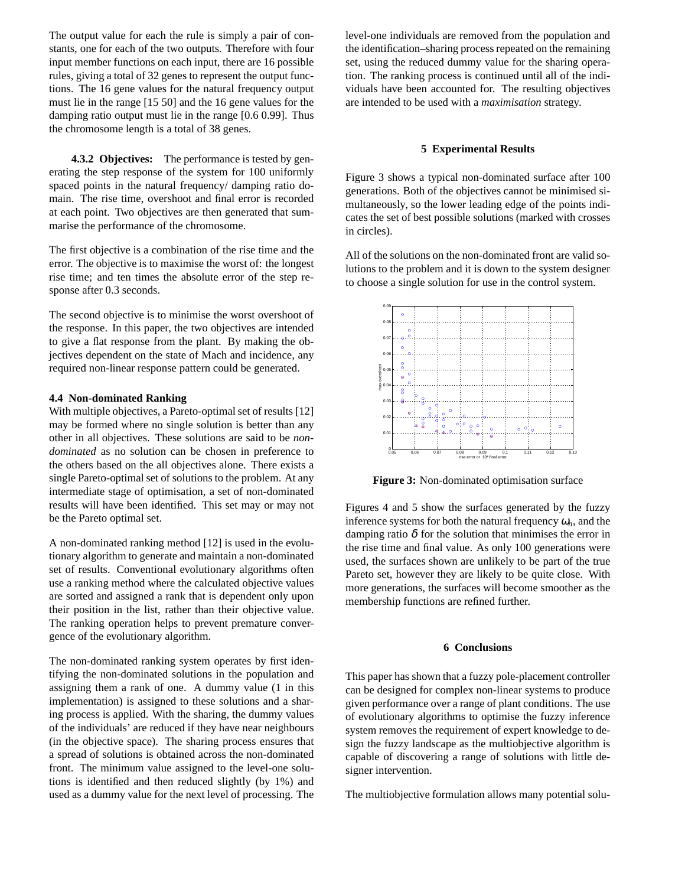The output value for each the rule is simply a pair of constants, one for each of the two outputs. Therefore with four input member functions on each input, there are 16 possible rules, giving a total of 32 genes to represent the output functions. The 16 gene values for the natural frequency output must lie in the range [15 50] and the 16 gene values for the damping ratio output must lie in the range [0.6 0.99]. Thus the chromosome length is a total of 38 genes.

**4.3.2 Objectives:** The performance is tested by generating the step response of the system for 100 uniformly spaced points in the natural frequency/ damping ratio domain. The rise time, overshoot and final error is recorded at each point. Two objectives are then generated that summarise the performance of the chromosome.

The first objective is a combination of the rise time and the error. The objective is to maximise the worst of: the longest rise time; and ten times the absolute error of the step response after 0.3 seconds.

The second objective is to minimise the worst overshoot of the response. In this paper, the two objectives are intended to give a flat response from the plant. By making the objectives dependent on the state of Mach and incidence, any required non-linear response pattern could be generated.

### **4.4 Non-dominated Ranking**

With multiple objectives, a Pareto-optimal set of results [12] may be formed where no single solution is better than any other in all objectives. These solutions are said to be *nondominated* as no solution can be chosen in preference to the others based on the all objectives alone. There exists a single Pareto-optimal set of solutions to the problem. At any intermediate stage of optimisation, a set of non-dominated results will have been identified. This set may or may not be the Pareto optimal set.

A non-dominated ranking method [12] is used in the evolutionary algorithm to generate and maintain a non-dominated set of results. Conventional evolutionary algorithms often use a ranking method where the calculated objective values are sorted and assigned a rank that is dependent only upon their position in the list, rather than their objective value. The ranking operation helps to prevent premature convergence of the evolutionary algorithm.

The non-dominated ranking system operates by first identifying the non-dominated solutions in the population and assigning them a rank of one. A dummy value (1 in this implementation) is assigned to these solutions and a sharing process is applied. With the sharing, the dummy values of the individuals' are reduced if they have near neighbours (in the objective space). The sharing process ensures that a spread of solutions is obtained across the non-dominated front. The minimum value assigned to the level-one solutions is identified and then reduced slightly (by 1%) and used as a dummy value for the next level of processing. The level-one individuals are removed from the population and the identification–sharing process repeated on the remaining set, using the reduced dummy value for the sharing operation. The ranking process is continued until all of the individuals have been accounted for. The resulting objectives are intended to be used with a *maximisation* strategy.

#### **5 Experimental Results**

Figure 3 shows a typical non-dominated surface after 100 generations. Both of the objectives cannot be minimised simultaneously, so the lower leading edge of the points indicates the set of best possible solutions (marked with crosses in circles).

All of the solutions on the non-dominated front are valid solutions to the problem and it is down to the system designer to choose a single solution for use in the control system.



**Figure 3:** Non-dominated optimisation surface

Figures 4 and 5 show the surfaces generated by the fuzzy inference systems for both the natural frequency  $\omega_n$ , and the damping ratio  $\delta$  for the solution that minimises the error in the rise time and final value. As only 100 generations were used, the surfaces shown are unlikely to be part of the true Pareto set, however they are likely to be quite close. With more generations, the surfaces will become smoother as the membership functions are refined further.

#### **6 Conclusions**

This paper has shown that a fuzzy pole-placement controller can be designed for complex non-linear systems to produce given performance over a range of plant conditions. The use of evolutionary algorithms to optimise the fuzzy inference system removes the requirement of expert knowledge to design the fuzzy landscape as the multiobjective algorithm is capable of discovering a range of solutions with little designer intervention.

The multiobjective formulation allows many potential solu-